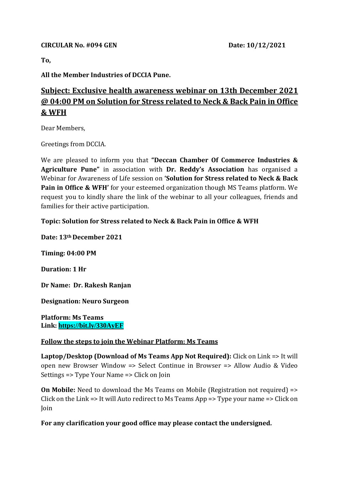#### **CIRCULAR No. #094 GEN Date: 10/12/2021**

**To,** 

**All the Member Industries of DCCIA Pune.**

# **Subject: Exclusive health awareness webinar on 13th December 2021 @ 04:00 PM on Solution for Stress related to Neck & Back Pain in Office & WFH**

Dear Members,

Greetings from DCCIA.

We are pleased to inform you that **"Deccan Chamber Of Commerce Industries & Agriculture Pune"** in association with **Dr. Reddy's Association** has organised a Webinar for Awareness of Life session on **'Solution for Stress related to Neck & Back Pain in Office & WFH'** for your esteemed organization though MS Teams platform. We request you to kindly share the link of the webinar to all your colleagues, friends and families for their active participation.

### **Topic: Solution for Stress related to Neck & Back Pain in Office & WFH**

**Date: 13th December 2021 Timing: 04:00 PM Duration: 1 Hr**

**Dr Name: Dr. Rakesh Ranjan**

**Designation: Neuro Surgeon**

**Platform: Ms Teams Link: [https://bit.ly/330AyEF](https://apc01.safelinks.protection.outlook.com/?url=https%3A%2F%2Fbit.ly%2F330AyEF&data=04%7C01%7C%7C965170de9b6d4b14fcf808d9b969905f%7C6d14682b68a64a25af3d06615e146b1e%7C0%7C0%7C637744685325617172%7CUnknown%7CTWFpbGZsb3d8eyJWIjoiMC4wLjAwMDAiLCJQIjoiV2luMzIiLCJBTiI6Ik1haWwiLCJXVCI6Mn0%3D%7C3000&sdata=SjwKuziLXEHGwqNEBIkknRZxOkd4PQlKYMxxpbJrWts%3D&reserved=0)**

### **Follow the steps to join the Webinar Platform: Ms Teams**

**Laptop/Desktop (Download of Ms Teams App Not Required):** Click on Link => It will open new Browser Window => Select Continue in Browser => Allow Audio & Video Settings => Type Your Name => Click on Join

**On Mobile:** Need to download the Ms Teams on Mobile (Registration not required) => Click on the Link => It will Auto redirect to Ms Teams App => Type your name => Click on Join

### **For any clarification your good office may please contact the undersigned.**